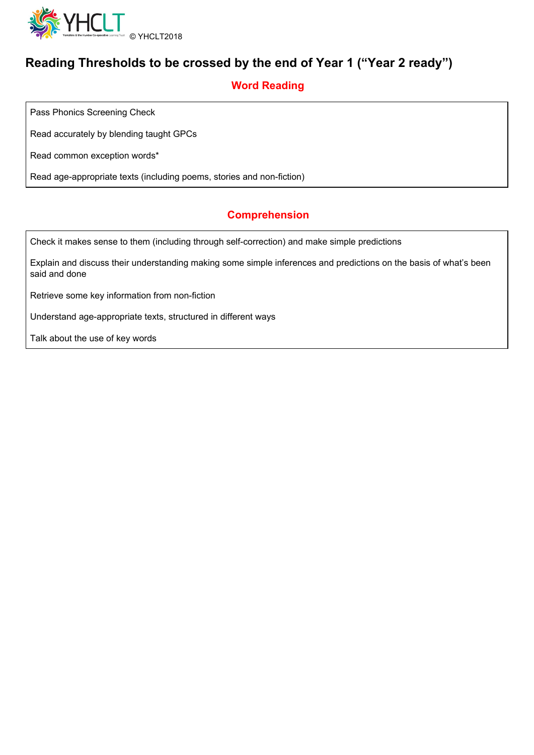

# **Reading Thresholds to be crossed by the end of Year 1 ("Year 2 ready")**

### **Word Reading**

Pass Phonics Screening Check

Read accurately by blending taught GPCs

Read common exception words\*

Read age-appropriate texts (including poems, stories and non-fiction)

### **Comprehension**

Check it makes sense to them (including through self-correction) and make simple predictions

Explain and discuss their understanding making some simple inferences and predictions on the basis of what's been said and done

Retrieve some key information from non-fiction

Understand age-appropriate texts, structured in different ways

Talk about the use of key words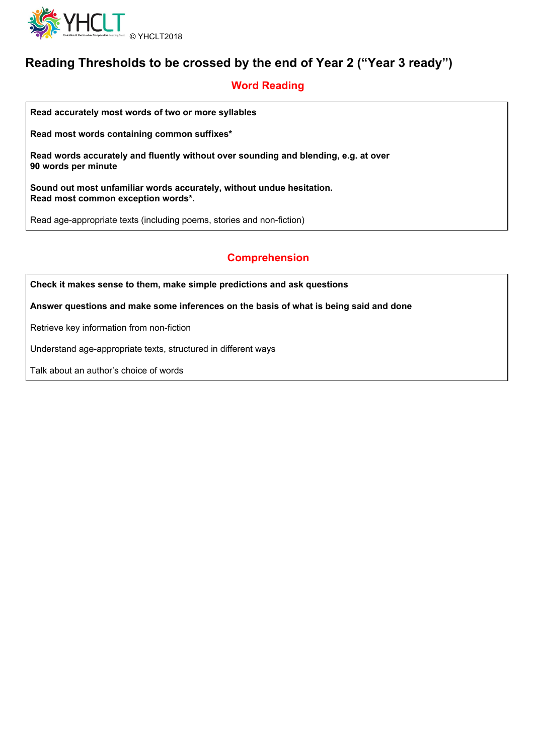

# **Reading Thresholds to be crossed by the end of Year 2 ("Year 3 ready")**

### **Word Reading**

**Read accurately most words of two or more syllables**

**Read most words containing common suffixes\***

**Read words accurately and fluently without over sounding and blending, e.g. at over 90 words per minute**

**Sound out most unfamiliar words accurately, without undue hesitation. Read most common exception words\*.**

Read age-appropriate texts (including poems, stories and non-fiction)

### **Comprehension**

**Check it makes sense to them, make simple predictions and ask questions**

**Answer questions and make some inferences on the basis of what is being said and done**

Retrieve key information from non-fiction

Understand age-appropriate texts, structured in different ways

Talk about an author's choice of words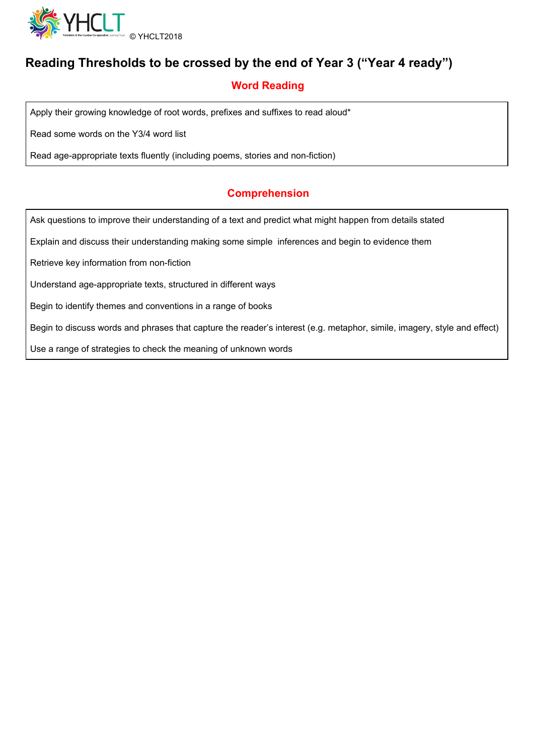

# **Reading Thresholds to be crossed by the end of Year 3 ("Year 4 ready")**

## **Word Reading**

Apply their growing knowledge of root words, prefixes and suffixes to read aloud\*

Read some words on the Y3/4 word list

Read age-appropriate texts fluently (including poems, stories and non-fiction)

#### **Comprehension**

Ask questions to improve their understanding of a text and predict what might happen from details stated

Explain and discuss their understanding making some simple inferences and begin to evidence them

Retrieve key information from non-fiction

Understand age-appropriate texts, structured in different ways

Begin to identify themes and conventions in a range of books

Begin to discuss words and phrases that capture the reader's interest (e.g. metaphor, simile, imagery, style and effect)

Use a range of strategies to check the meaning of unknown words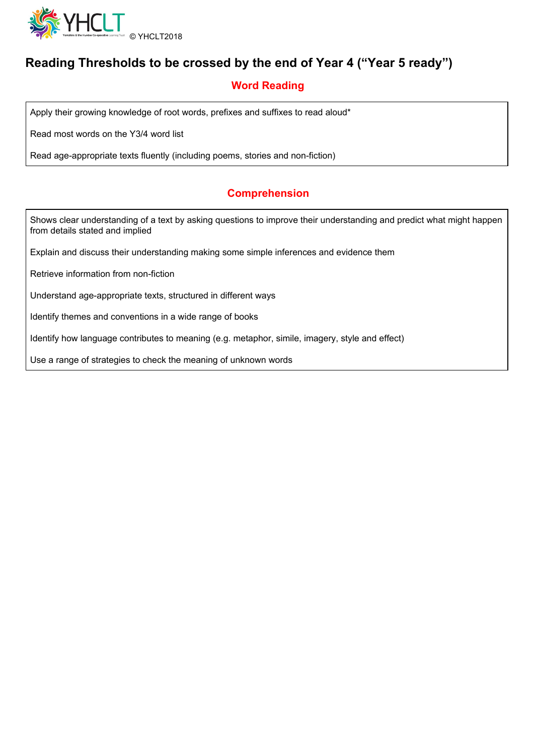

# **Reading Thresholds to be crossed by the end of Year 4 ("Year 5 ready")**

## **Word Reading**

Apply their growing knowledge of root words, prefixes and suffixes to read aloud\*

Read most words on the Y3/4 word list

Read age-appropriate texts fluently (including poems, stories and non-fiction)

#### **Comprehension**

Shows clear understanding of a text by asking questions to improve their understanding and predict what might happen from details stated and implied

Explain and discuss their understanding making some simple inferences and evidence them

Retrieve information from non-fiction

Understand age-appropriate texts, structured in different ways

Identify themes and conventions in a wide range of books

Identify how language contributes to meaning (e.g. metaphor, simile, imagery, style and effect)

Use a range of strategies to check the meaning of unknown words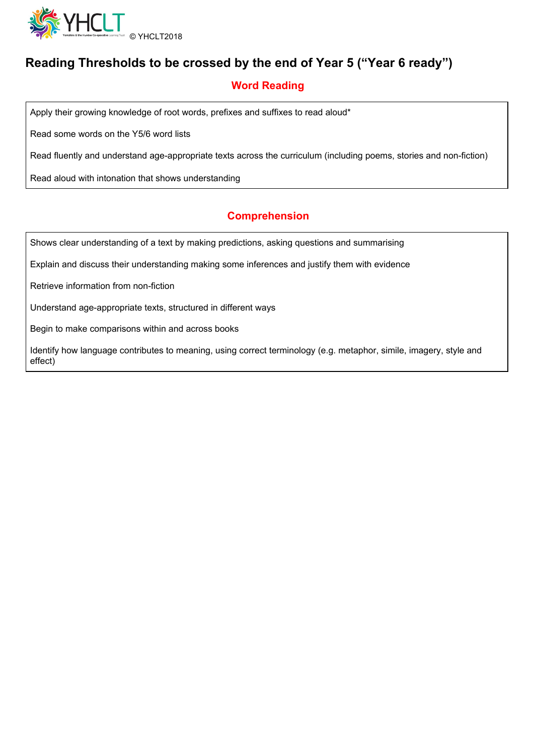

# **Reading Thresholds to be crossed by the end of Year 5 ("Year 6 ready")**

## **Word Reading**

Apply their growing knowledge of root words, prefixes and suffixes to read aloud\*

Read some words on the Y5/6 word lists

Read fluently and understand age-appropriate texts across the curriculum (including poems, stories and non-fiction)

Read aloud with intonation that shows understanding

#### **Comprehension**

Shows clear understanding of a text by making predictions, asking questions and summarising

Explain and discuss their understanding making some inferences and justify them with evidence

Retrieve information from non-fiction

Understand age-appropriate texts, structured in different ways

Begin to make comparisons within and across books

Identify how language contributes to meaning, using correct terminology (e.g. metaphor, simile, imagery, style and effect)